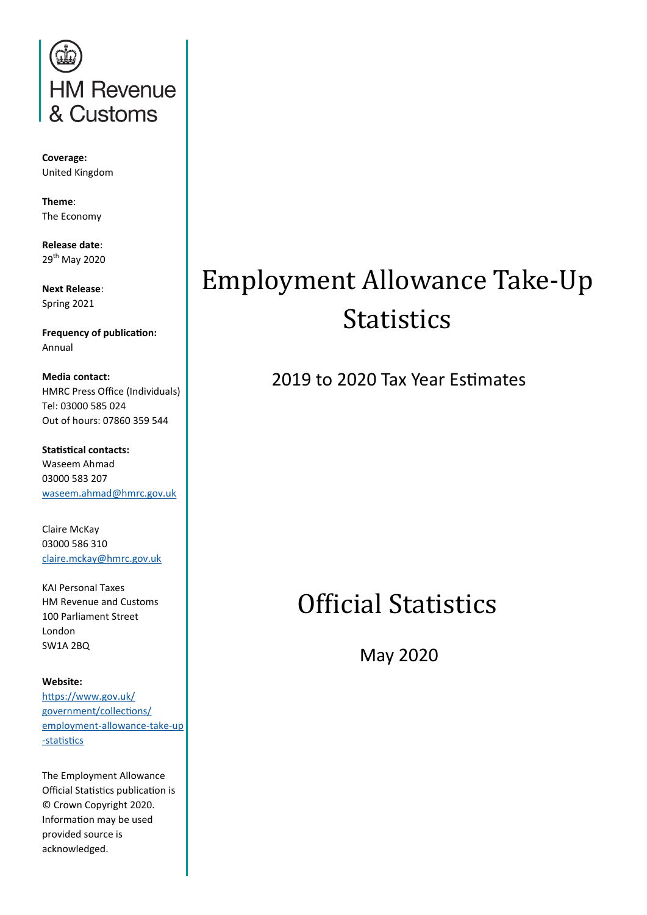

**Coverage:** United Kingdom

**Theme**: The Economy

**Release date**: 29th May 2020

**Next Release**: Spring 2021

**Frequency of publication:** Annual

**Media contact:** HMRC Press Office (Individuals) Tel: 03000 585 024 Out of hours: 07860 359 544

**Statistical contacts:** Waseem Ahmad 03000 583 207 [waseem.ahmad@hmrc.gov.uk](mailto:waseem.ahmad@hmrc.gov.uk?subject=Public%20Enquiry:%20Employment%20Allowance%20Statistics%202019-20)

Claire McKay 03000 586 310 [claire.mckay@hmrc.gov.uk](mailto:claire.mckay@hmrc.gov.uk?subject=Public%20Enquiry:%20Employment%20Allowance%20Statistics%202019-20)

KAI Personal Taxes HM Revenue and Customs 100 Parliament Street London SW1A 2BQ

#### **Website:**

[https://www.gov.uk/](https://www.gov.uk/government/collections/employment-allowance-take-up-statistics) [government/collections/](https://www.gov.uk/government/collections/employment-allowance-take-up-statistics) [employment](https://www.gov.uk/government/collections/employment-allowance-take-up-statistics)-allowance-take-up -[statistics](https://www.gov.uk/government/collections/employment-allowance-take-up-statistics)

The Employment Allowance Official Statistics publication is © Crown Copyright 2020. Information may be used provided source is acknowledged.

### Employment Allowance Take-Up **Statistics**

2019 to 2020 Tax Year Estimates

### Official Statistics

May 2020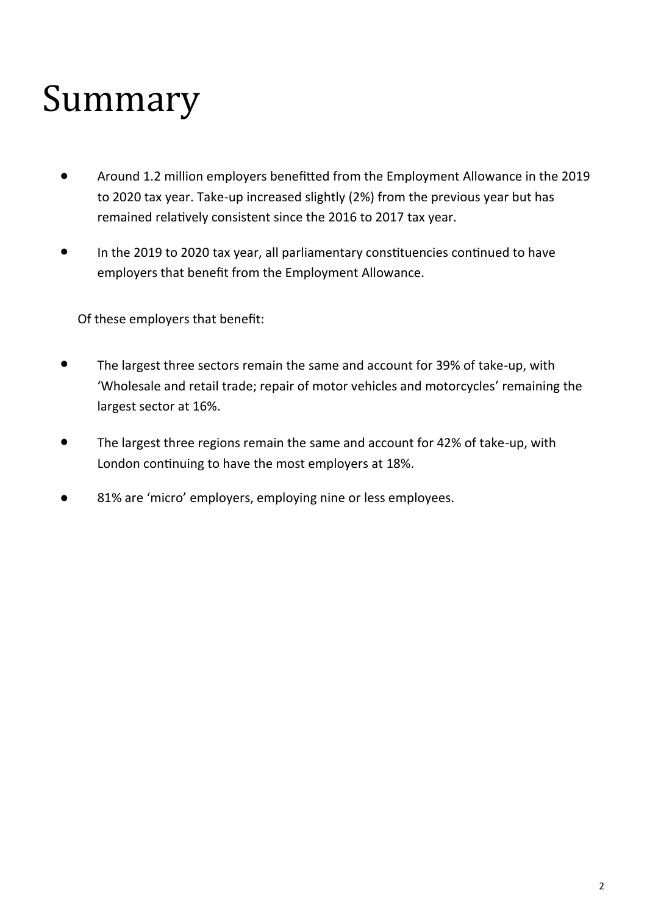# Summary

- Around 1.2 million employers benefitted from the Employment Allowance in the 2019 to 2020 tax year. Take-up increased slightly (2%) from the previous year but has remained relatively consistent since the 2016 to 2017 tax year.
- In the 2019 to 2020 tax year, all parliamentary constituencies continued to have employers that benefit from the Employment Allowance.

Of these employers that benefit:

- The largest three sectors remain the same and account for 39% of take-up, with 'Wholesale and retail trade; repair of motor vehicles and motorcycles' remaining the largest sector at 16%.
- The largest three regions remain the same and account for 42% of take-up, with London continuing to have the most employers at 18%.
- 81% are 'micro' employers, employing nine or less employees.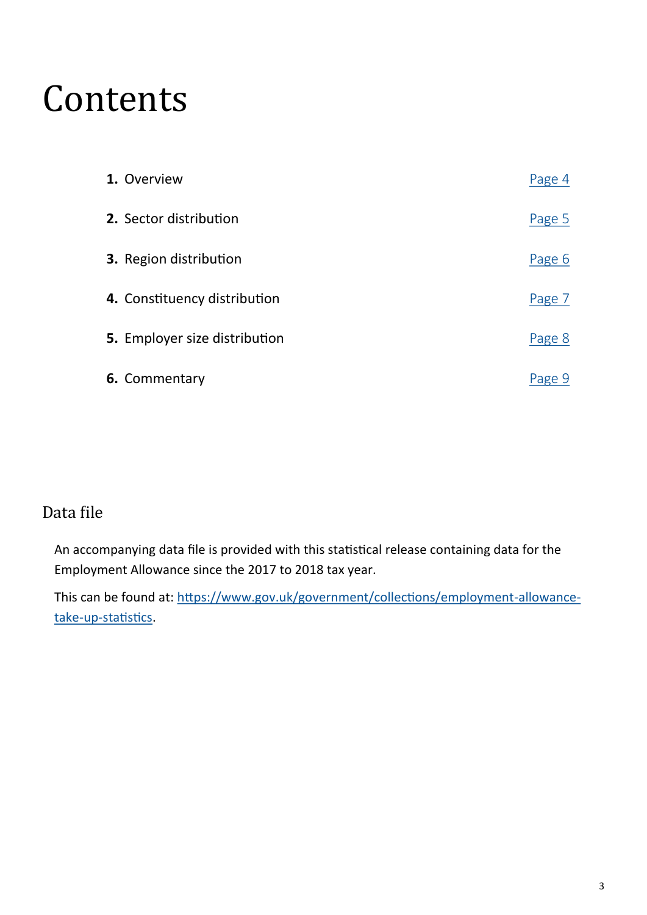## Contents

| 1. Overview                   | Page 4 |
|-------------------------------|--------|
| 2. Sector distribution        | Page 5 |
| 3. Region distribution        | Page 6 |
| 4. Constituency distribution  | Page 7 |
| 5. Employer size distribution | Page 8 |
| 6. Commentary                 | Page 9 |

### Data file

An accompanying data file is provided with this statistical release containing data for the Employment Allowance since the 2017 to 2018 tax year.

This can be found at: [https://www.gov.uk/government/collections/employment](https://www.gov.uk/government/collections/employment-allowance-take-up-statistics)-allowancetake-up-[statistics.](https://www.gov.uk/government/collections/employment-allowance-take-up-statistics)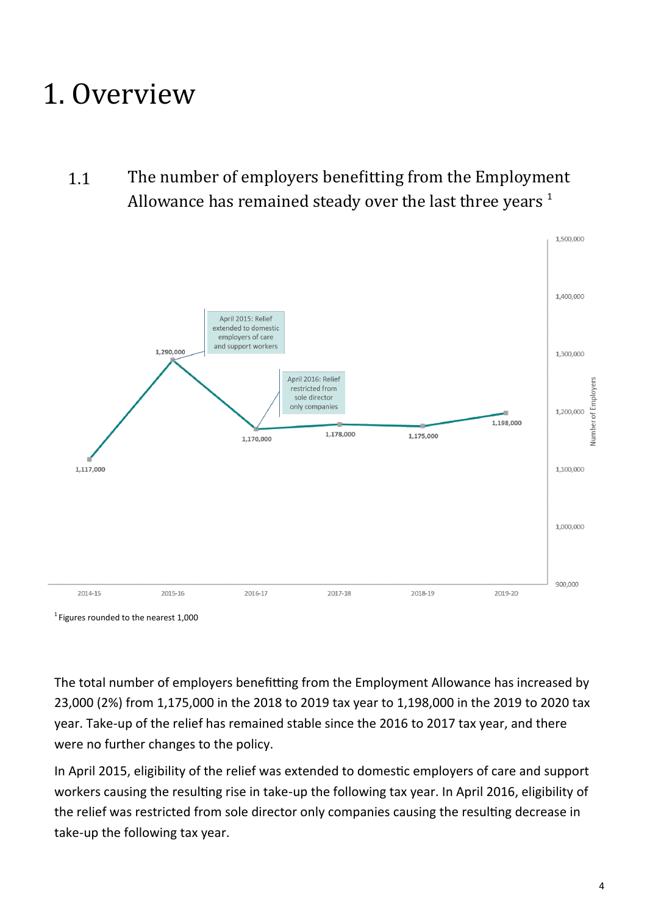### <span id="page-3-0"></span>1. Overview

1.1 The number of employers benefitting from the Employment Allowance has remained steady over the last three years  $1$ 



 $1$  Figures rounded to the nearest 1,000

The total number of employers benefitting from the Employment Allowance has increased by 23,000 (2%) from 1,175,000 in the 2018 to 2019 tax year to 1,198,000 in the 2019 to 2020 tax year. Take-up of the relief has remained stable since the 2016 to 2017 tax year, and there were no further changes to the policy.

In April 2015, eligibility of the relief was extended to domestic employers of care and support workers causing the resulting rise in take-up the following tax year. In April 2016, eligibility of the relief was restricted from sole director only companies causing the resulting decrease in take-up the following tax year.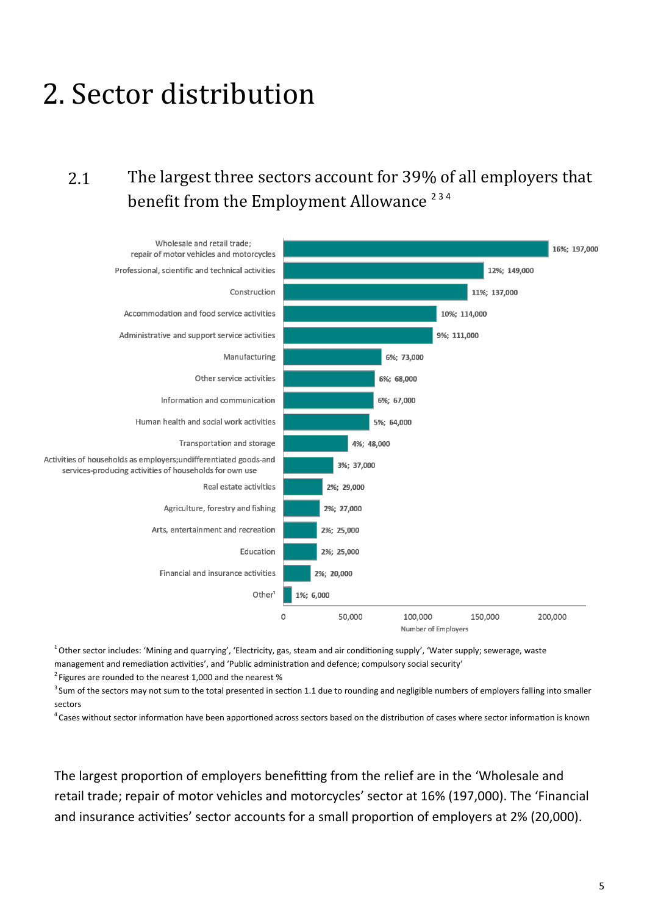### <span id="page-4-0"></span>2. Sector distribution

### 2.1 The largest three sectors account for 39% of all employers that benefit from the Employment Allowance<sup>234</sup>



 $1$ Other sector includes: 'Mining and quarrying', 'Electricity, gas, steam and air conditioning supply', 'Water supply', sewerage, waste management and remediation activities', and 'Public administration and defence; compulsory social security'

 $2$  Figures are rounded to the nearest 1,000 and the nearest %

 $3$  Sum of the sectors may not sum to the total presented in section 1.1 due to rounding and negligible numbers of employers falling into smaller sectors

 $4$  Cases without sector information have been apportioned across sectors based on the distribution of cases where sector information is known

The largest proportion of employers benefitting from the relief are in the 'Wholesale and retail trade; repair of motor vehicles and motorcycles' sector at 16% (197,000). The 'Financial and insurance activities' sector accounts for a small proportion of employers at 2% (20,000).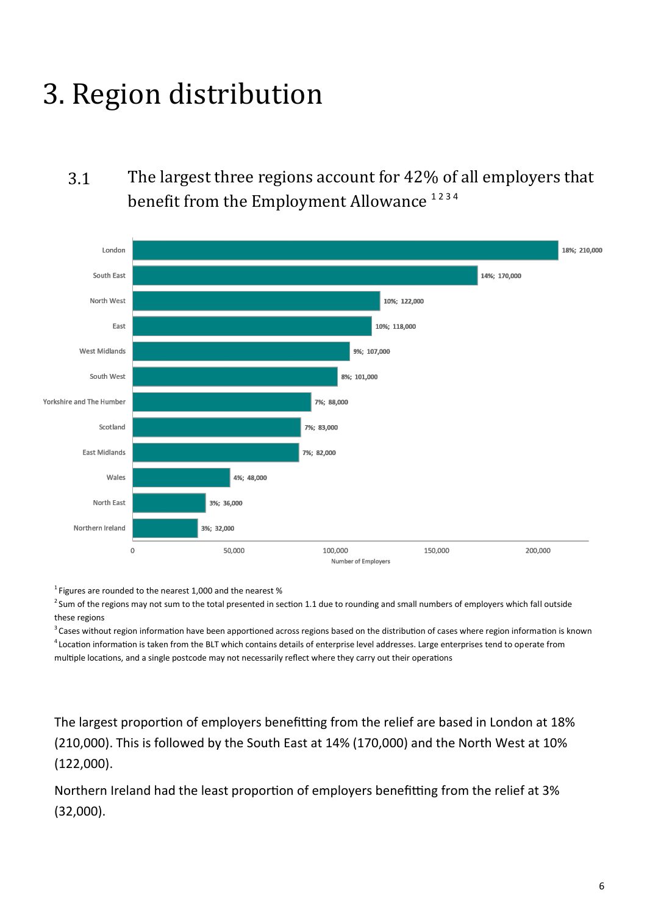## <span id="page-5-0"></span>3. Region distribution

### 3.1 The largest three regions account for 42% of all employers that benefit from the Employment Allowance<sup>1234</sup>



 $1$  Figures are rounded to the nearest 1,000 and the nearest %

<sup>2</sup> Sum of the regions may not sum to the total presented in section 1.1 due to rounding and small numbers of employers which fall outside these regions

<sup>3</sup> Cases without region information have been apportioned across regions based on the distribution of cases where region information is known <sup>4</sup>Location information is taken from the BLT which contains details of enterprise level addresses. Large enterprises tend to operate from multiple locations, and a single postcode may not necessarily reflect where they carry out their operations

The largest proportion of employers benefitting from the relief are based in London at 18% (210,000). This is followed by the South East at 14% (170,000) and the North West at 10% (122,000).

Northern Ireland had the least proportion of employers benefitting from the relief at 3% (32,000).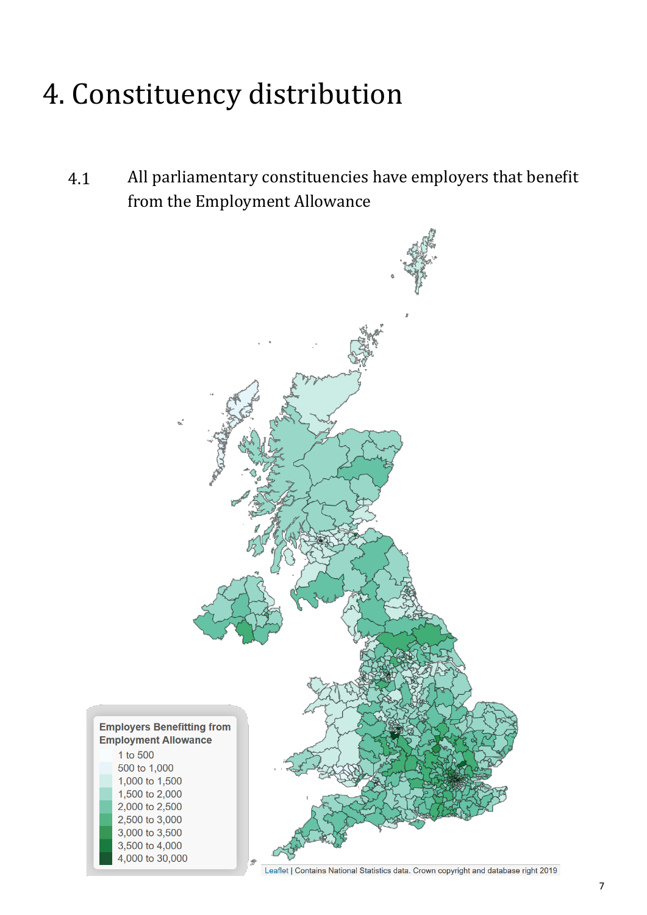## <span id="page-6-0"></span>4. Constituency distribution

4.1 All parliamentary constituencies have employers that benefit from the Employment Allowance



Leaflet | Contains National Statistics data. Crown copyright and database right 2019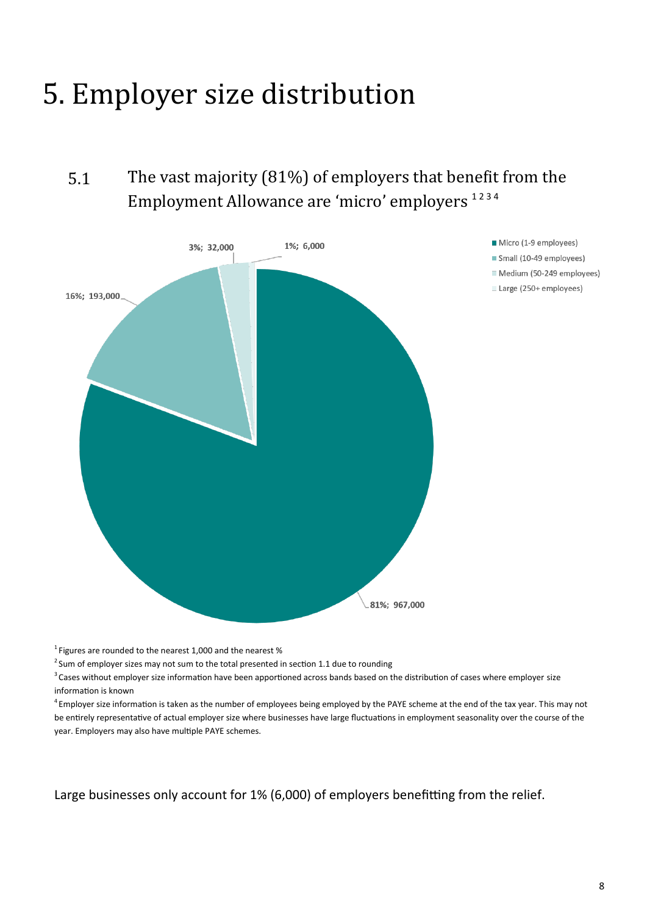### <span id="page-7-0"></span>5. Employer size distribution

5.1 The vast majority (81%) of employers that benefit from the Employment Allowance are 'micro' employers<sup>1234</sup>



 $1$  Figures are rounded to the nearest 1,000 and the nearest %

 $2$  Sum of employer sizes may not sum to the total presented in section 1.1 due to rounding

<sup>3</sup> Cases without employer size information have been apportioned across bands based on the distribution of cases where employer size information is known

 $4$  Employer size information is taken as the number of employees being employed by the PAYE scheme at the end of the tax year. This may not be entirely representative of actual employer size where businesses have large fluctuations in employment seasonality over the course of the year. Employers may also have multiple PAYE schemes.

Large businesses only account for 1% (6,000) of employers benefitting from the relief.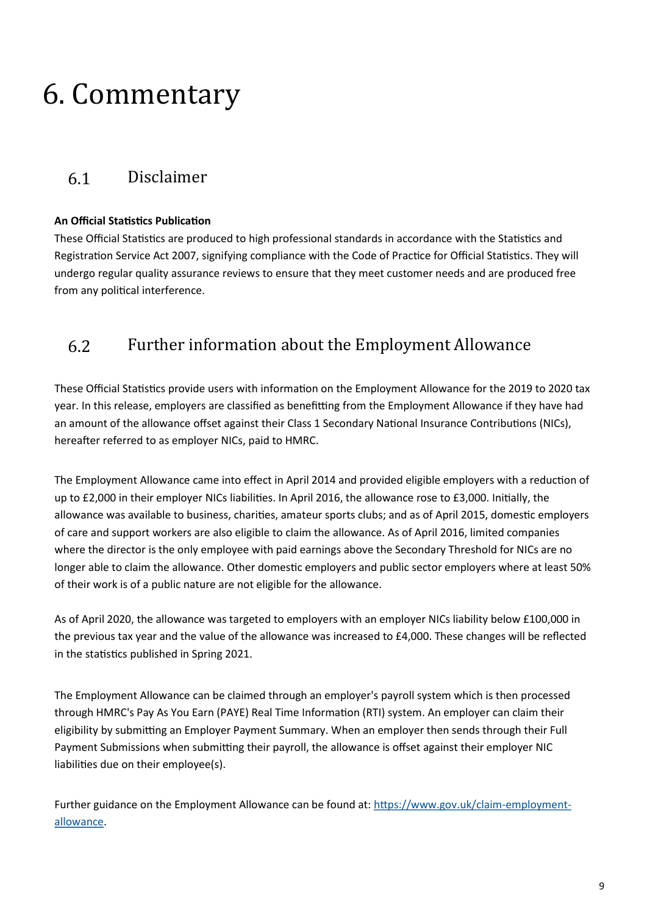### <span id="page-8-0"></span>6. Commentary

#### 6.1 Disclaimer

#### **An Official Statistics Publication**

These Official Statistics are produced to high professional standards in accordance with the Statistics and Registration Service Act 2007, signifying compliance with the Code of Practice for Official Statistics. They will undergo regular quality assurance reviews to ensure that they meet customer needs and are produced free from any political interference.

#### 6.2 Further information about the Employment Allowance

These Official Statistics provide users with information on the Employment Allowance for the 2019 to 2020 tax year. In this release, employers are classified as benefitting from the Employment Allowance if they have had an amount of the allowance offset against their Class 1 Secondary National Insurance Contributions (NICs), hereafter referred to as employer NICs, paid to HMRC.

The Employment Allowance came into effect in April 2014 and provided eligible employers with a reduction of up to £2,000 in their employer NICs liabilities. In April 2016, the allowance rose to £3,000. Initially, the allowance was available to business, charities, amateur sports clubs; and as of April 2015, domestic employers of care and support workers are also eligible to claim the allowance. As of April 2016, limited companies where the director is the only employee with paid earnings above the Secondary Threshold for NICs are no longer able to claim the allowance. Other domestic employers and public sector employers where at least 50% of their work is of a public nature are not eligible for the allowance.

As of April 2020, the allowance was targeted to employers with an employer NICs liability below £100,000 in the previous tax year and the value of the allowance was increased to £4,000. These changes will be reflected in the statistics published in Spring 2021.

The Employment Allowance can be claimed through an employer's payroll system which is then processed through HMRC's Pay As You Earn (PAYE) Real Time Information (RTI) system. An employer can claim their eligibility by submitting an Employer Payment Summary. When an employer then sends through their Full Payment Submissions when submitting their payroll, the allowance is offset against their employer NIC liabilities due on their employee(s).

Further guidance on the Employment Allowance can be found at: [https://www.gov.uk/claim](https://www.gov.uk/claim-employment-allowance)-employment[allowance.](https://www.gov.uk/claim-employment-allowance)